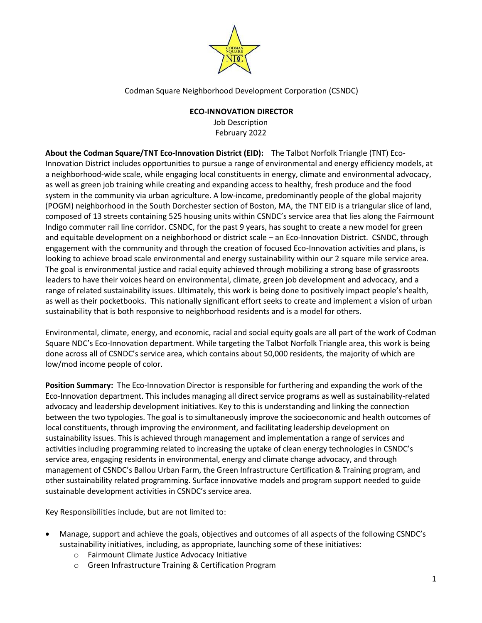

Codman Square Neighborhood Development Corporation (CSNDC)

## **ECO-INNOVATION DIRECTOR**

Job Description February 2022

**About the Codman Square/TNT Eco-Innovation District (EID):** The Talbot Norfolk Triangle (TNT) Eco-Innovation District includes opportunities to pursue a range of environmental and energy efficiency models, at a neighborhood-wide scale, while engaging local constituents in energy, climate and environmental advocacy, as well as green job training while creating and expanding access to healthy, fresh produce and the food system in the community via urban agriculture. A low-income, predominantly people of the global majority (POGM) neighborhood in the South Dorchester section of Boston, MA, the TNT EID is a triangular slice of land, composed of 13 streets containing 525 housing units within CSNDC's service area that lies along the Fairmount Indigo commuter rail line corridor. CSNDC, for the past 9 years, has sought to create a new model for green and equitable development on a neighborhood or district scale – an Eco-Innovation District. CSNDC, through engagement with the community and through the creation of focused Eco-Innovation activities and plans, is looking to achieve broad scale environmental and energy sustainability within our 2 square mile service area. The goal is environmental justice and racial equity achieved through mobilizing a strong base of grassroots leaders to have their voices heard on environmental, climate, green job development and advocacy, and a range of related sustainability issues. Ultimately, this work is being done to positively impact people's health, as well as their pocketbooks. This nationally significant effort seeks to create and implement a vision of urban sustainability that is both responsive to neighborhood residents and is a model for others.

Environmental, climate, energy, and economic, racial and social equity goals are all part of the work of Codman Square NDC's Eco-Innovation department. While targeting the Talbot Norfolk Triangle area, this work is being done across all of CSNDC's service area, which contains about 50,000 residents, the majority of which are low/mod income people of color.

**Position Summary:** The Eco-Innovation Director is responsible for furthering and expanding the work of the Eco-Innovation department. This includes managing all direct service programs as well as sustainability-related advocacy and leadership development initiatives. Key to this is understanding and linking the connection between the two typologies. The goal is to simultaneously improve the socioeconomic and health outcomes of local constituents, through improving the environment, and facilitating leadership development on sustainability issues. This is achieved through management and implementation a range of services and activities including programming related to increasing the uptake of clean energy technologies in CSNDC's service area, engaging residents in environmental, energy and climate change advocacy, and through management of CSNDC's Ballou Urban Farm, the Green Infrastructure Certification & Training program, and other sustainability related programming. Surface innovative models and program support needed to guide sustainable development activities in CSNDC's service area.

Key Responsibilities include, but are not limited to:

- Manage, support and achieve the goals, objectives and outcomes of all aspects of the following CSNDC's sustainability initiatives, including, as appropriate, launching some of these initiatives:
	- o Fairmount Climate Justice Advocacy Initiative
	- o Green Infrastructure Training & Certification Program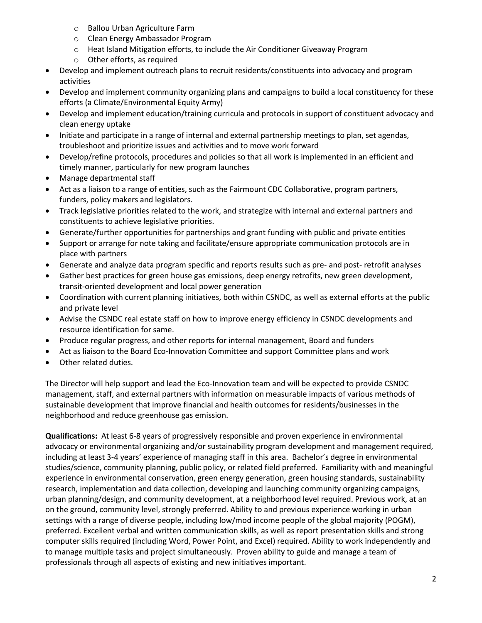- o Ballou Urban Agriculture Farm
- o Clean Energy Ambassador Program
- o Heat Island Mitigation efforts, to include the Air Conditioner Giveaway Program
- o Other efforts, as required
- Develop and implement outreach plans to recruit residents/constituents into advocacy and program activities
- Develop and implement community organizing plans and campaigns to build a local constituency for these efforts (a Climate/Environmental Equity Army)
- Develop and implement education/training curricula and protocols in support of constituent advocacy and clean energy uptake
- Initiate and participate in a range of internal and external partnership meetings to plan, set agendas, troubleshoot and prioritize issues and activities and to move work forward
- Develop/refine protocols, procedures and policies so that all work is implemented in an efficient and timely manner, particularly for new program launches
- Manage departmental staff
- Act as a liaison to a range of entities, such as the Fairmount CDC Collaborative, program partners, funders, policy makers and legislators.
- Track legislative priorities related to the work, and strategize with internal and external partners and constituents to achieve legislative priorities.
- Generate/further opportunities for partnerships and grant funding with public and private entities
- Support or arrange for note taking and facilitate/ensure appropriate communication protocols are in place with partners
- Generate and analyze data program specific and reports results such as pre- and post- retrofit analyses
- Gather best practices for green house gas emissions, deep energy retrofits, new green development, transit-oriented development and local power generation
- Coordination with current planning initiatives, both within CSNDC, as well as external efforts at the public and private level
- Advise the CSNDC real estate staff on how to improve energy efficiency in CSNDC developments and resource identification for same.
- Produce regular progress, and other reports for internal management, Board and funders
- Act as liaison to the Board Eco-Innovation Committee and support Committee plans and work
- Other related duties.

The Director will help support and lead the Eco-Innovation team and will be expected to provide CSNDC management, staff, and external partners with information on measurable impacts of various methods of sustainable development that improve financial and health outcomes for residents/businesses in the neighborhood and reduce greenhouse gas emission.

**Qualifications:** At least 6-8 years of progressively responsible and proven experience in environmental advocacy or environmental organizing and/or sustainability program development and management required, including at least 3-4 years' experience of managing staff in this area. Bachelor's degree in environmental studies/science, community planning, public policy, or related field preferred. Familiarity with and meaningful experience in environmental conservation, green energy generation, green housing standards, sustainability research, implementation and data collection, developing and launching community organizing campaigns, urban planning/design, and community development, at a neighborhood level required. Previous work, at an on the ground, community level, strongly preferred. Ability to and previous experience working in urban settings with a range of diverse people, including low/mod income people of the global majority (POGM), preferred. Excellent verbal and written communication skills, as well as report presentation skills and strong computer skills required (including Word, Power Point, and Excel) required. Ability to work independently and to manage multiple tasks and project simultaneously. Proven ability to guide and manage a team of professionals through all aspects of existing and new initiatives important.